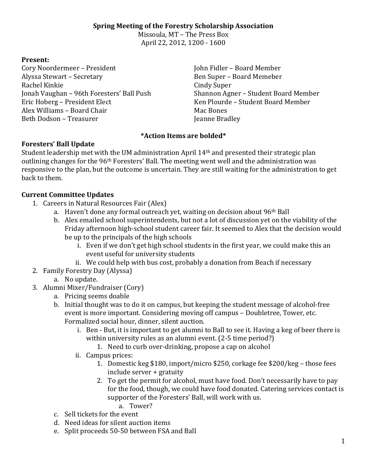## **Spring Meeting of the Forestry Scholarship Association**

Missoula, MT – The Press Box April 22, 2012, 1200 - 1600

### **Present:**

Cory Noordermeer – President Alyssa Stewart – Secretary Rachel Kinkie Jonah Vaughan – 96th Foresters' Ball Push Eric Hoberg – President Elect Alex Williams – Board Chair Beth Dodson – Treasurer

John Fidler – Board Member Ben Super – Board Memeber Cindy Super Shannon Agner – Student Board Member Ken Plourde – Student Board Member Mac Bones Jeanne Bradley

## **\*Action Items are bolded\***

## **Foresters' Ball Update**

Student leadership met with the UM administration April 14th and presented their strategic plan outlining changes for the 96th Foresters' Ball. The meeting went well and the administration was responsive to the plan, but the outcome is uncertain. They are still waiting for the administration to get back to them.

## **Current Committee Updates**

- 1. Careers in Natural Resources Fair (Alex)
	- a. Haven't done any formal outreach yet, waiting on decision about 96th Ball
	- b. Alex emailed school superintendents, but not a lot of discussion yet on the viability of the Friday afternoon high-school student career fair. It seemed to Alex that the decision would be up to the principals of the high schools
		- i. Even if we don't get high school students in the first year, we could make this an event useful for university students
		- ii. We could help with bus cost, probably a donation from Beach if necessary
- 2. Family Forestry Day (Alyssa)
	- a. No update.
- 3. Alumni Mixer/Fundraiser (Cory)
	- a. Pricing seems doable
	- b. Initial thought was to do it on campus, but keeping the student message of alcohol-free event is more important. Considering moving off campus – Doubletree, Tower, etc. Formalized social hour, dinner, silent auction.
		- i. Ben But, it is important to get alumni to Ball to see it. Having a keg of beer there is within university rules as an alumni event. (2-5 time period?)
			- 1. Need to curb over-drinking, propose a cap on alcohol
		- ii. Campus prices:
			- 1. Domestic keg \$180, import/micro \$250, corkage fee \$200/keg those fees include server + gratuity
			- 2. To get the permit for alcohol, must have food. Don't necessarily have to pay for the food, though, we could have food donated. Catering services contact is supporter of the Foresters' Ball, will work with us.
				- a. Tower?
	- c. Sell tickets for the event
	- d. Need ideas for silent auction items
	- e. Split proceeds 50-50 between FSA and Ball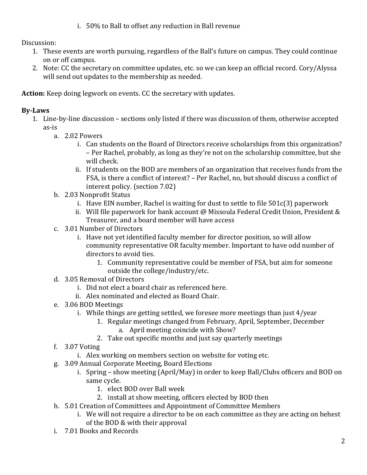i. 50% to Ball to offset any reduction in Ball revenue

Discussion:

- 1. These events are worth pursuing, regardless of the Ball's future on campus. They could continue on or off campus.
- 2. Note: CC the secretary on committee updates, etc. so we can keep an official record. Cory/Alyssa will send out updates to the membership as needed.

**Action:** Keep doing legwork on events. CC the secretary with updates.

# **By-Laws**

- 1. Line-by-line discussion sections only listed if there was discussion of them, otherwise accepted as-is
	- a. 2.02 Powers
		- i. Can students on the Board of Directors receive scholarships from this organization? – Per Rachel, probably, as long as they're not on the scholarship committee, but she will check.
		- ii. If students on the BOD are members of an organization that receives funds from the FSA, is there a conflict of interest? – Per Rachel, no, but should discuss a conflict of interest policy. (section 7.02)
	- b. 2.03 Nonprofit Status
		- i. Have EIN number, Rachel is waiting for dust to settle to file 501c(3) paperwork
		- ii. Will file paperwork for bank account @ Missoula Federal Credit Union, President & Treasurer, and a board member will have access
	- c. 3.01 Number of Directors
		- i. Have not yet identified faculty member for director position, so will allow community representative OR faculty member. Important to have odd number of directors to avoid ties.
			- 1. Community representative could be member of FSA, but aim for someone outside the college/industry/etc.
	- d. 3.05 Removal of Directors
		- i. Did not elect a board chair as referenced here.
		- ii. Alex nominated and elected as Board Chair.
	- e. 3.06 BOD Meetings
		- i. While things are getting settled, we foresee more meetings than just 4/year
			- 1. Regular meetings changed from February, April, September, December a. April meeting coincide with Show?
			- 2. Take out specific months and just say quarterly meetings
	- f. 3.07 Voting
		- i. Alex working on members section on website for voting etc.
	- g. 3.09 Annual Corporate Meeting, Board Elections
		- i. Spring show meeting (April/May) in order to keep Ball/Clubs officers and BOD on same cycle.
			- 1. elect BOD over Ball week
			- 2. install at show meeting, officers elected by BOD then
	- h. 5.01 Creation of Committees and Appointment of Committee Members
		- i. We will not require a director to be on each committee as they are acting on behest of the BOD & with their approval
	- i. 7.01 Books and Records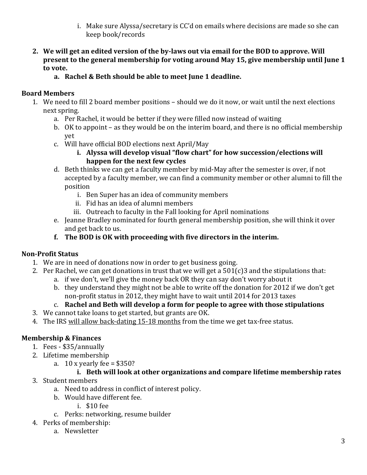- i. Make sure Alyssa/secretary is CC'd on emails where decisions are made so she can keep book/records
- **2. We will get an edited version of the by-laws out via email for the BOD to approve. Will present to the general membership for voting around May 15, give membership until June 1 to vote.**
	- **a. Rachel & Beth should be able to meet June 1 deadline.**

## **Board Members**

- 1. We need to fill 2 board member positions should we do it now, or wait until the next elections next spring.
	- a. Per Rachel, it would be better if they were filled now instead of waiting
	- b. OK to appoint as they would be on the interim board, and there is no official membership yet
	- c. Will have official BOD elections next April/May
		- **i. Alyssa will develop visual "flow chart" for how succession/elections will happen for the next few cycles**
	- d. Beth thinks we can get a faculty member by mid-May after the semester is over, if not accepted by a faculty member, we can find a community member or other alumni to fill the position
		- i. Ben Super has an idea of community members
		- ii. Fid has an idea of alumni members
		- iii. Outreach to faculty in the Fall looking for April nominations
	- e. Jeanne Bradley nominated for fourth general membership position, she will think it over and get back to us.
	- **f. The BOD is OK with proceeding with five directors in the interim.**

# **Non-Profit Status**

- 1. We are in need of donations now in order to get business going.
- 2. Per Rachel, we can get donations in trust that we will get a 501(c)3 and the stipulations that:
	- a. if we don't, we'll give the money back OR they can say don't worry about it
	- b. they understand they might not be able to write off the donation for 2012 if we don't get non-profit status in 2012, they might have to wait until 2014 for 2013 taxes

# c. **Rachel and Beth will develop a form for people to agree with those stipulations**

- 3. We cannot take loans to get started, but grants are OK.
- 4. The IRS will allow back-dating 15-18 months from the time we get tax-free status.

# **Membership & Finances**

- 1. Fees \$35/annually
- 2. Lifetime membership
	- a.  $10x$  yearly fee = \$350?

# **i. Beth will look at other organizations and compare lifetime membership rates**

- 3. Student members
	- a. Need to address in conflict of interest policy.
	- b. Would have different fee.
		- i. \$10 fee
	- c. Perks: networking, resume builder
- 4. Perks of membership:
	- a. Newsletter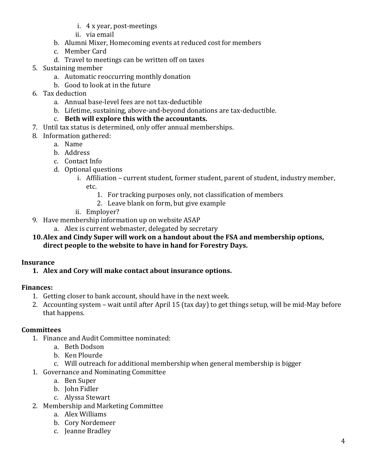- i. 4 x year, post-meetings
- ii. via email
- b. Alumni Mixer, Homecoming events at reduced cost for members
- c. Member Card
- d. Travel to meetings can be written off on taxes
- 5. Sustaining member
	- a. Automatic reoccurring monthly donation
	- b. Good to look at in the future
- 6. Tax deduction
	- a. Annual base-level fees are not tax-deductible
	- b. Lifetime, sustaining, above-and-beyond donations are tax-deductible.

### c. **Beth will explore this with the accountants.**

- 7. Until tax status is determined, only offer annual memberships.
- 8. Information gathered:
	- a. Name
	- b. Address
	- c. Contact Info
	- d. Optional questions
		- i. Affiliation current student, former student, parent of student, industry member, etc.
			- 1. For tracking purposes only, not classification of members
			- 2. Leave blank on form, but give example
		- ii. Employer?
- 9. Have membership information up on website ASAP
	- a. Alex is current webmaster, delegated by secretary
- **10.Alex and Cindy Super will work on a handout about the FSA and membership options, direct people to the website to have in hand for Forestry Days.**

#### **Insurance**

**1. Alex and Cory will make contact about insurance options.**

#### **Finances:**

- 1. Getting closer to bank account, should have in the next week.
- 2. Accounting system wait until after April 15 (tax day) to get things setup, will be mid-May before that happens.

### **Committees**

- 1. Finance and Audit Committee nominated:
	- a. Beth Dodson
	- b. Ken Plourde
	- c. Will outreach for additional membership when general membership is bigger
- 1. Governance and Nominating Committee
	- a. Ben Super
	- b. John Fidler
	- c. Alyssa Stewart
- 2. Membership and Marketing Committee
	- a. Alex Williams
	- b. Cory Nordemeer
	- c. Jeanne Bradley